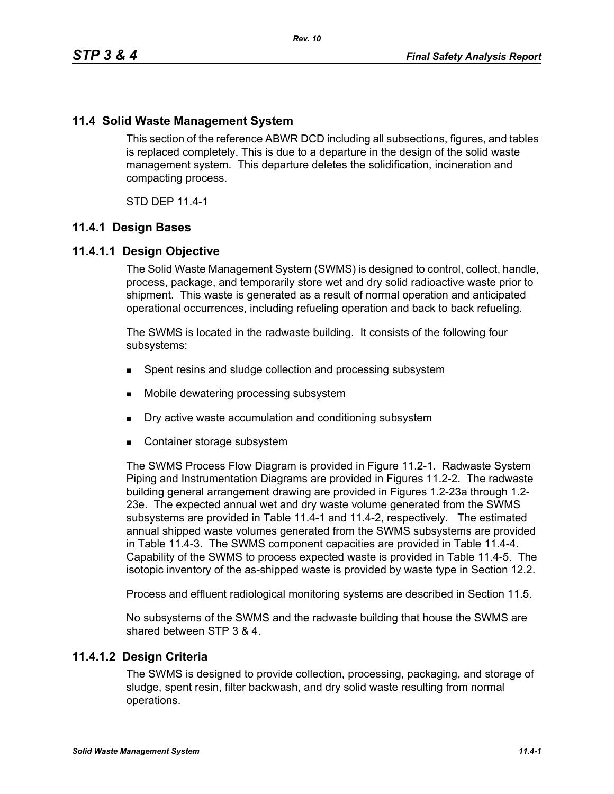# **11.4 Solid Waste Management System**

This section of the reference ABWR DCD including all subsections, figures, and tables is replaced completely. This is due to a departure in the design of the solid waste management system. This departure deletes the solidification, incineration and compacting process.

STD DEP 11.4-1

# **11.4.1 Design Bases**

# **11.4.1.1 Design Objective**

The Solid Waste Management System (SWMS) is designed to control, collect, handle, process, package, and temporarily store wet and dry solid radioactive waste prior to shipment. This waste is generated as a result of normal operation and anticipated operational occurrences, including refueling operation and back to back refueling.

The SWMS is located in the radwaste building. It consists of the following four subsystems:

- **Spent resins and sludge collection and processing subsystem**
- Mobile dewatering processing subsystem
- Dry active waste accumulation and conditioning subsystem
- Container storage subsystem

The SWMS Process Flow Diagram is provided in Figure 11.2-1. Radwaste System Piping and Instrumentation Diagrams are provided in Figures 11.2-2. The radwaste building general arrangement drawing are provided in Figures 1.2-23a through 1.2- 23e. The expected annual wet and dry waste volume generated from the SWMS subsystems are provided in Table 11.4-1 and 11.4-2, respectively. The estimated annual shipped waste volumes generated from the SWMS subsystems are provided in Table 11.4-3. The SWMS component capacities are provided in Table 11.4-4. Capability of the SWMS to process expected waste is provided in Table 11.4-5. The isotopic inventory of the as-shipped waste is provided by waste type in Section 12.2.

Process and effluent radiological monitoring systems are described in Section 11.5.

No subsystems of the SWMS and the radwaste building that house the SWMS are shared between STP 3 & 4.

# **11.4.1.2 Design Criteria**

The SWMS is designed to provide collection, processing, packaging, and storage of sludge, spent resin, filter backwash, and dry solid waste resulting from normal operations.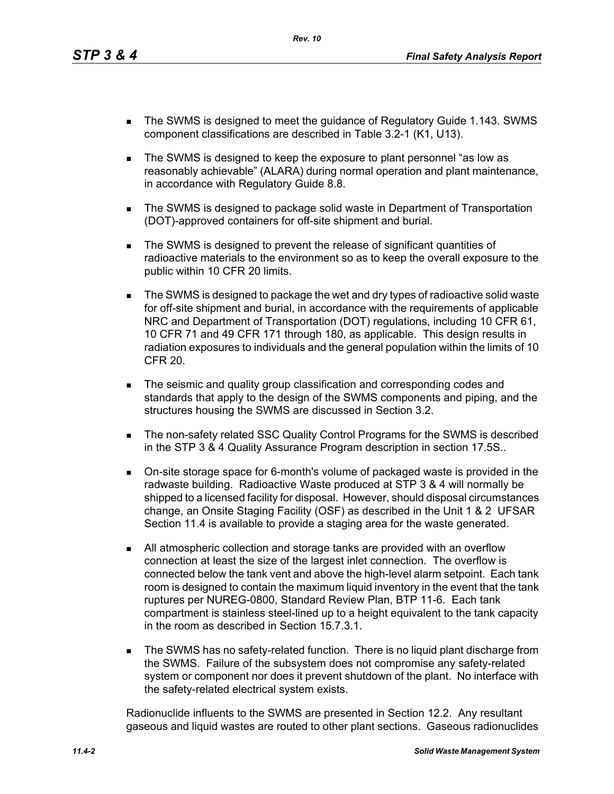- The SWMS is designed to meet the guidance of Regulatory Guide 1.143. SWMS component classifications are described in Table 3.2-1 (K1, U13).
- The SWMS is designed to keep the exposure to plant personnel "as low as reasonably achievable" (ALARA) during normal operation and plant maintenance, in accordance with Regulatory Guide 8.8.
- The SWMS is designed to package solid waste in Department of Transportation (DOT)-approved containers for off-site shipment and burial.
- The SWMS is designed to prevent the release of significant quantities of radioactive materials to the environment so as to keep the overall exposure to the public within 10 CFR 20 limits.
- The SWMS is designed to package the wet and dry types of radioactive solid waste for off-site shipment and burial, in accordance with the requirements of applicable NRC and Department of Transportation (DOT) regulations, including 10 CFR 61, 10 CFR 71 and 49 CFR 171 through 180, as applicable. This design results in radiation exposures to individuals and the general population within the limits of 10 CFR 20.
- **The seismic and quality group classification and corresponding codes and** standards that apply to the design of the SWMS components and piping, and the structures housing the SWMS are discussed in Section 3.2.
- The non-safety related SSC Quality Control Programs for the SWMS is described in the STP 3 & 4 Quality Assurance Program description in section 17.5S..
- On-site storage space for 6-month's volume of packaged waste is provided in the radwaste building. Radioactive Waste produced at STP 3 & 4 will normally be shipped to a licensed facility for disposal. However, should disposal circumstances change, an Onsite Staging Facility (OSF) as described in the Unit 1 & 2 UFSAR Section 11.4 is available to provide a staging area for the waste generated.
- All atmospheric collection and storage tanks are provided with an overflow connection at least the size of the largest inlet connection. The overflow is connected below the tank vent and above the high-level alarm setpoint. Each tank room is designed to contain the maximum liquid inventory in the event that the tank ruptures per NUREG-0800, Standard Review Plan, BTP 11-6. Each tank compartment is stainless steel-lined up to a height equivalent to the tank capacity in the room as described in Section 15.7.3.1.
- **The SWMS has no safety-related function. There is no liquid plant discharge from** the SWMS. Failure of the subsystem does not compromise any safety-related system or component nor does it prevent shutdown of the plant. No interface with the safety-related electrical system exists.

Radionuclide influents to the SWMS are presented in Section 12.2. Any resultant gaseous and liquid wastes are routed to other plant sections. Gaseous radionuclides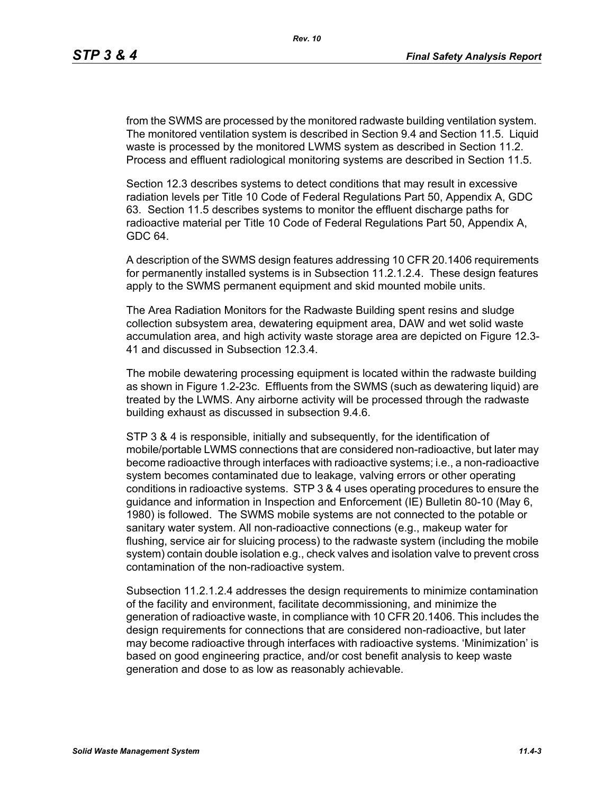from the SWMS are processed by the monitored radwaste building ventilation system. The monitored ventilation system is described in Section 9.4 and Section 11.5. Liquid waste is processed by the monitored LWMS system as described in Section 11.2. Process and effluent radiological monitoring systems are described in Section 11.5.

Section 12.3 describes systems to detect conditions that may result in excessive radiation levels per Title 10 Code of Federal Regulations Part 50, Appendix A, GDC 63. Section 11.5 describes systems to monitor the effluent discharge paths for radioactive material per Title 10 Code of Federal Regulations Part 50, Appendix A, GDC 64.

A description of the SWMS design features addressing 10 CFR 20.1406 requirements for permanently installed systems is in Subsection 11.2.1.2.4. These design features apply to the SWMS permanent equipment and skid mounted mobile units.

The Area Radiation Monitors for the Radwaste Building spent resins and sludge collection subsystem area, dewatering equipment area, DAW and wet solid waste accumulation area, and high activity waste storage area are depicted on Figure 12.3- 41 and discussed in Subsection 12.3.4.

The mobile dewatering processing equipment is located within the radwaste building as shown in Figure 1.2-23c. Effluents from the SWMS (such as dewatering liquid) are treated by the LWMS. Any airborne activity will be processed through the radwaste building exhaust as discussed in subsection 9.4.6.

STP 3 & 4 is responsible, initially and subsequently, for the identification of mobile/portable LWMS connections that are considered non-radioactive, but later may become radioactive through interfaces with radioactive systems; i.e., a non-radioactive system becomes contaminated due to leakage, valving errors or other operating conditions in radioactive systems. STP 3 & 4 uses operating procedures to ensure the guidance and information in Inspection and Enforcement (IE) Bulletin 80-10 (May 6, 1980) is followed. The SWMS mobile systems are not connected to the potable or sanitary water system. All non-radioactive connections (e.g., makeup water for flushing, service air for sluicing process) to the radwaste system (including the mobile system) contain double isolation e.g., check valves and isolation valve to prevent cross contamination of the non-radioactive system.

Subsection 11.2.1.2.4 addresses the design requirements to minimize contamination of the facility and environment, facilitate decommissioning, and minimize the generation of radioactive waste, in compliance with 10 CFR 20.1406. This includes the design requirements for connections that are considered non-radioactive, but later may become radioactive through interfaces with radioactive systems. 'Minimization' is based on good engineering practice, and/or cost benefit analysis to keep waste generation and dose to as low as reasonably achievable.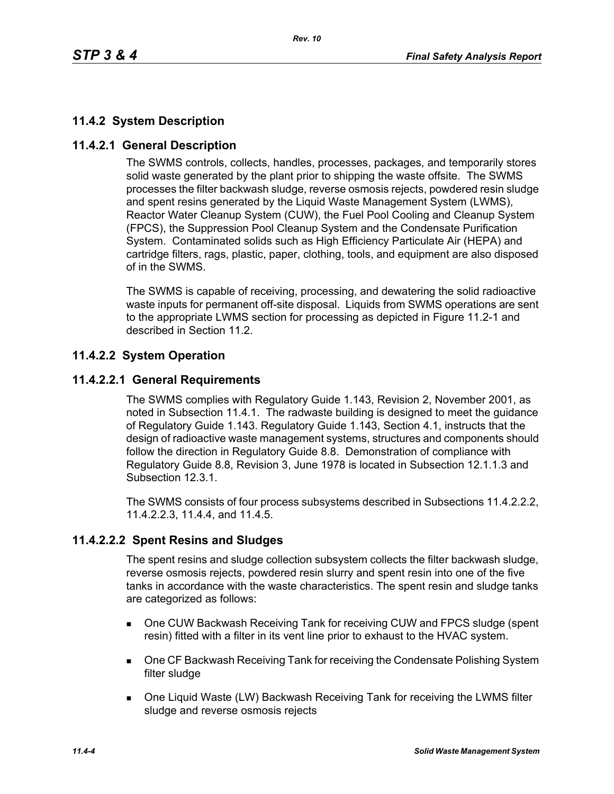# **11.4.2 System Description**

# **11.4.2.1 General Description**

The SWMS controls, collects, handles, processes, packages, and temporarily stores solid waste generated by the plant prior to shipping the waste offsite. The SWMS processes the filter backwash sludge, reverse osmosis rejects, powdered resin sludge and spent resins generated by the Liquid Waste Management System (LWMS), Reactor Water Cleanup System (CUW), the Fuel Pool Cooling and Cleanup System (FPCS), the Suppression Pool Cleanup System and the Condensate Purification System. Contaminated solids such as High Efficiency Particulate Air (HEPA) and cartridge filters, rags, plastic, paper, clothing, tools, and equipment are also disposed of in the SWMS.

The SWMS is capable of receiving, processing, and dewatering the solid radioactive waste inputs for permanent off-site disposal. Liquids from SWMS operations are sent to the appropriate LWMS section for processing as depicted in Figure 11.2-1 and described in Section 11.2.

# **11.4.2.2 System Operation**

# **11.4.2.2.1 General Requirements**

The SWMS complies with Regulatory Guide 1.143, Revision 2, November 2001, as noted in Subsection 11.4.1. The radwaste building is designed to meet the guidance of Regulatory Guide 1.143. Regulatory Guide 1.143, Section 4.1, instructs that the design of radioactive waste management systems, structures and components should follow the direction in Regulatory Guide 8.8. Demonstration of compliance with Regulatory Guide 8.8, Revision 3, June 1978 is located in Subsection 12.1.1.3 and Subsection 12.3.1.

The SWMS consists of four process subsystems described in Subsections 11.4.2.2.2, 11.4.2.2.3, 11.4.4, and 11.4.5.

# **11.4.2.2.2 Spent Resins and Sludges**

The spent resins and sludge collection subsystem collects the filter backwash sludge, reverse osmosis rejects, powdered resin slurry and spent resin into one of the five tanks in accordance with the waste characteristics. The spent resin and sludge tanks are categorized as follows:

- One CUW Backwash Receiving Tank for receiving CUW and FPCS sludge (spent resin) fitted with a filter in its vent line prior to exhaust to the HVAC system.
- **DIE CF Backwash Receiving Tank for receiving the Condensate Polishing System** filter sludge
- One Liquid Waste (LW) Backwash Receiving Tank for receiving the LWMS filter sludge and reverse osmosis rejects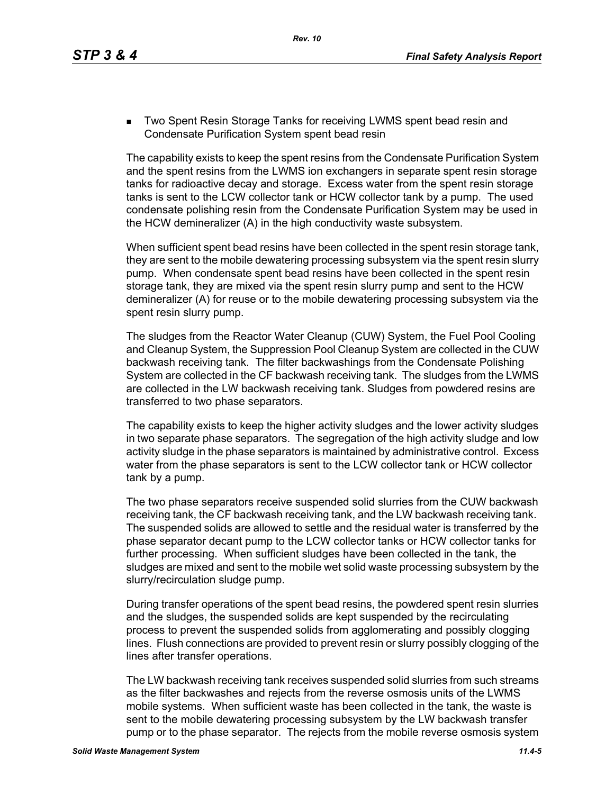**Two Spent Resin Storage Tanks for receiving LWMS spent bead resin and** Condensate Purification System spent bead resin

The capability exists to keep the spent resins from the Condensate Purification System and the spent resins from the LWMS ion exchangers in separate spent resin storage tanks for radioactive decay and storage. Excess water from the spent resin storage tanks is sent to the LCW collector tank or HCW collector tank by a pump. The used condensate polishing resin from the Condensate Purification System may be used in the HCW demineralizer (A) in the high conductivity waste subsystem.

When sufficient spent bead resins have been collected in the spent resin storage tank, they are sent to the mobile dewatering processing subsystem via the spent resin slurry pump. When condensate spent bead resins have been collected in the spent resin storage tank, they are mixed via the spent resin slurry pump and sent to the HCW demineralizer (A) for reuse or to the mobile dewatering processing subsystem via the spent resin slurry pump.

The sludges from the Reactor Water Cleanup (CUW) System, the Fuel Pool Cooling and Cleanup System, the Suppression Pool Cleanup System are collected in the CUW backwash receiving tank. The filter backwashings from the Condensate Polishing System are collected in the CF backwash receiving tank. The sludges from the LWMS are collected in the LW backwash receiving tank. Sludges from powdered resins are transferred to two phase separators.

The capability exists to keep the higher activity sludges and the lower activity sludges in two separate phase separators. The segregation of the high activity sludge and low activity sludge in the phase separators is maintained by administrative control. Excess water from the phase separators is sent to the LCW collector tank or HCW collector tank by a pump.

The two phase separators receive suspended solid slurries from the CUW backwash receiving tank, the CF backwash receiving tank, and the LW backwash receiving tank. The suspended solids are allowed to settle and the residual water is transferred by the phase separator decant pump to the LCW collector tanks or HCW collector tanks for further processing. When sufficient sludges have been collected in the tank, the sludges are mixed and sent to the mobile wet solid waste processing subsystem by the slurry/recirculation sludge pump.

During transfer operations of the spent bead resins, the powdered spent resin slurries and the sludges, the suspended solids are kept suspended by the recirculating process to prevent the suspended solids from agglomerating and possibly clogging lines. Flush connections are provided to prevent resin or slurry possibly clogging of the lines after transfer operations.

The LW backwash receiving tank receives suspended solid slurries from such streams as the filter backwashes and rejects from the reverse osmosis units of the LWMS mobile systems. When sufficient waste has been collected in the tank, the waste is sent to the mobile dewatering processing subsystem by the LW backwash transfer pump or to the phase separator. The rejects from the mobile reverse osmosis system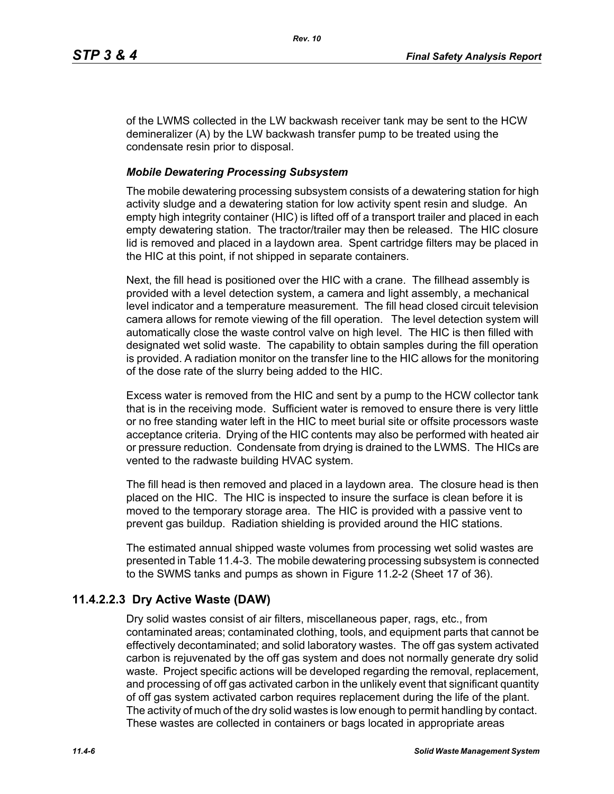of the LWMS collected in the LW backwash receiver tank may be sent to the HCW demineralizer (A) by the LW backwash transfer pump to be treated using the condensate resin prior to disposal.

#### *Mobile Dewatering Processing Subsystem*

The mobile dewatering processing subsystem consists of a dewatering station for high activity sludge and a dewatering station for low activity spent resin and sludge. An empty high integrity container (HIC) is lifted off of a transport trailer and placed in each empty dewatering station. The tractor/trailer may then be released. The HIC closure lid is removed and placed in a laydown area. Spent cartridge filters may be placed in the HIC at this point, if not shipped in separate containers.

Next, the fill head is positioned over the HIC with a crane. The fillhead assembly is provided with a level detection system, a camera and light assembly, a mechanical level indicator and a temperature measurement. The fill head closed circuit television camera allows for remote viewing of the fill operation. The level detection system will automatically close the waste control valve on high level. The HIC is then filled with designated wet solid waste. The capability to obtain samples during the fill operation is provided. A radiation monitor on the transfer line to the HIC allows for the monitoring of the dose rate of the slurry being added to the HIC.

Excess water is removed from the HIC and sent by a pump to the HCW collector tank that is in the receiving mode. Sufficient water is removed to ensure there is very little or no free standing water left in the HIC to meet burial site or offsite processors waste acceptance criteria. Drying of the HIC contents may also be performed with heated air or pressure reduction. Condensate from drying is drained to the LWMS. The HICs are vented to the radwaste building HVAC system.

The fill head is then removed and placed in a laydown area. The closure head is then placed on the HIC. The HIC is inspected to insure the surface is clean before it is moved to the temporary storage area. The HIC is provided with a passive vent to prevent gas buildup. Radiation shielding is provided around the HIC stations.

The estimated annual shipped waste volumes from processing wet solid wastes are presented in Table 11.4-3. The mobile dewatering processing subsystem is connected to the SWMS tanks and pumps as shown in Figure 11.2-2 (Sheet 17 of 36).

# **11.4.2.2.3 Dry Active Waste (DAW)**

Dry solid wastes consist of air filters, miscellaneous paper, rags, etc., from contaminated areas; contaminated clothing, tools, and equipment parts that cannot be effectively decontaminated; and solid laboratory wastes. The off gas system activated carbon is rejuvenated by the off gas system and does not normally generate dry solid waste. Project specific actions will be developed regarding the removal, replacement, and processing of off gas activated carbon in the unlikely event that significant quantity of off gas system activated carbon requires replacement during the life of the plant. The activity of much of the dry solid wastes is low enough to permit handling by contact. These wastes are collected in containers or bags located in appropriate areas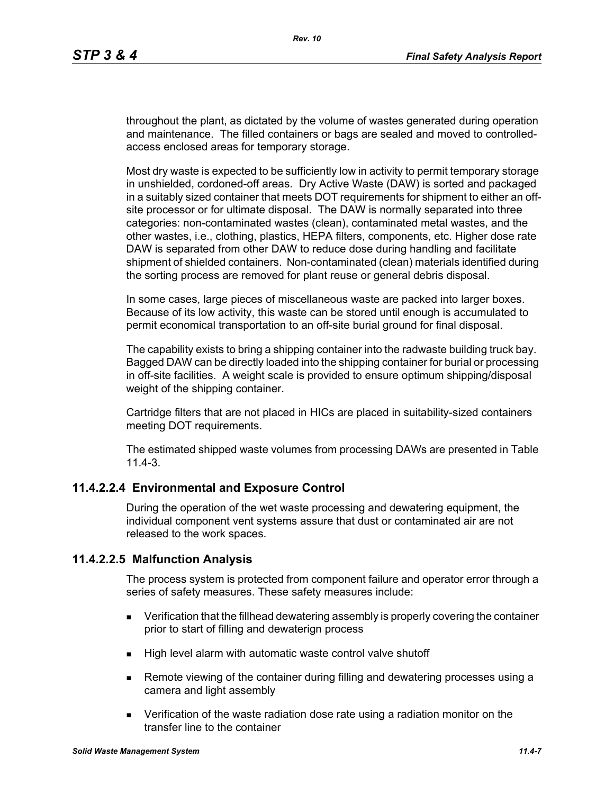throughout the plant, as dictated by the volume of wastes generated during operation and maintenance. The filled containers or bags are sealed and moved to controlledaccess enclosed areas for temporary storage.

Most dry waste is expected to be sufficiently low in activity to permit temporary storage in unshielded, cordoned-off areas. Dry Active Waste (DAW) is sorted and packaged in a suitably sized container that meets DOT requirements for shipment to either an offsite processor or for ultimate disposal. The DAW is normally separated into three categories: non-contaminated wastes (clean), contaminated metal wastes, and the other wastes, i.e., clothing, plastics, HEPA filters, components, etc. Higher dose rate DAW is separated from other DAW to reduce dose during handling and facilitate shipment of shielded containers. Non-contaminated (clean) materials identified during the sorting process are removed for plant reuse or general debris disposal.

In some cases, large pieces of miscellaneous waste are packed into larger boxes. Because of its low activity, this waste can be stored until enough is accumulated to permit economical transportation to an off-site burial ground for final disposal.

The capability exists to bring a shipping container into the radwaste building truck bay. Bagged DAW can be directly loaded into the shipping container for burial or processing in off-site facilities. A weight scale is provided to ensure optimum shipping/disposal weight of the shipping container.

Cartridge filters that are not placed in HICs are placed in suitability-sized containers meeting DOT requirements.

The estimated shipped waste volumes from processing DAWs are presented in Table 11.4-3.

# **11.4.2.2.4 Environmental and Exposure Control**

During the operation of the wet waste processing and dewatering equipment, the individual component vent systems assure that dust or contaminated air are not released to the work spaces.

# **11.4.2.2.5 Malfunction Analysis**

The process system is protected from component failure and operator error through a series of safety measures. These safety measures include:

- **EXECT** Verification that the fillhead dewatering assembly is properly covering the container prior to start of filling and dewaterign process
- $\blacksquare$  High level alarm with automatic waste control valve shutoff
- Remote viewing of the container during filling and dewatering processes using a camera and light assembly
- Verification of the waste radiation dose rate using a radiation monitor on the transfer line to the container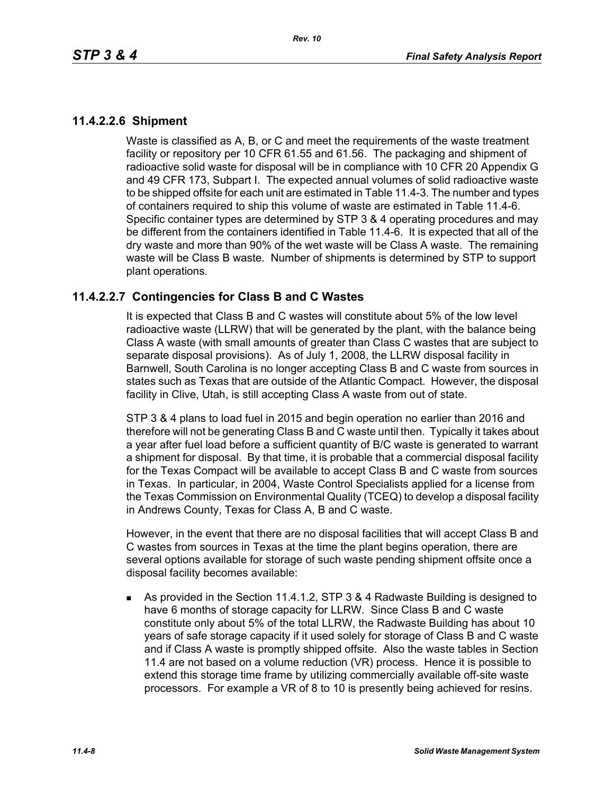# **11.4.2.2.6 Shipment**

Waste is classified as A, B, or C and meet the requirements of the waste treatment facility or repository per 10 CFR 61.55 and 61.56. The packaging and shipment of radioactive solid waste for disposal will be in compliance with 10 CFR 20 Appendix G and 49 CFR 173, Subpart I. The expected annual volumes of solid radioactive waste to be shipped offsite for each unit are estimated in Table 11.4-3. The number and types of containers required to ship this volume of waste are estimated in Table 11.4-6. Specific container types are determined by STP 3 & 4 operating procedures and may be different from the containers identified in Table 11.4-6. It is expected that all of the dry waste and more than 90% of the wet waste will be Class A waste. The remaining waste will be Class B waste. Number of shipments is determined by STP to support plant operations.

# **11.4.2.2.7 Contingencies for Class B and C Wastes**

It is expected that Class B and C wastes will constitute about 5% of the low level radioactive waste (LLRW) that will be generated by the plant, with the balance being Class A waste (with small amounts of greater than Class C wastes that are subject to separate disposal provisions). As of July 1, 2008, the LLRW disposal facility in Barnwell, South Carolina is no longer accepting Class B and C waste from sources in states such as Texas that are outside of the Atlantic Compact. However, the disposal facility in Clive, Utah, is still accepting Class A waste from out of state.

STP 3 & 4 plans to load fuel in 2015 and begin operation no earlier than 2016 and therefore will not be generating Class B and C waste until then. Typically it takes about a year after fuel load before a sufficient quantity of B/C waste is generated to warrant a shipment for disposal. By that time, it is probable that a commercial disposal facility for the Texas Compact will be available to accept Class B and C waste from sources in Texas. In particular, in 2004, Waste Control Specialists applied for a license from the Texas Commission on Environmental Quality (TCEQ) to develop a disposal facility in Andrews County, Texas for Class A, B and C waste.

However, in the event that there are no disposal facilities that will accept Class B and C wastes from sources in Texas at the time the plant begins operation, there are several options available for storage of such waste pending shipment offsite once a disposal facility becomes available:

 As provided in the Section 11.4.1.2, STP 3 & 4 Radwaste Building is designed to have 6 months of storage capacity for LLRW. Since Class B and C waste constitute only about 5% of the total LLRW, the Radwaste Building has about 10 years of safe storage capacity if it used solely for storage of Class B and C waste and if Class A waste is promptly shipped offsite. Also the waste tables in Section 11.4 are not based on a volume reduction (VR) process. Hence it is possible to extend this storage time frame by utilizing commercially available off-site waste processors. For example a VR of 8 to 10 is presently being achieved for resins.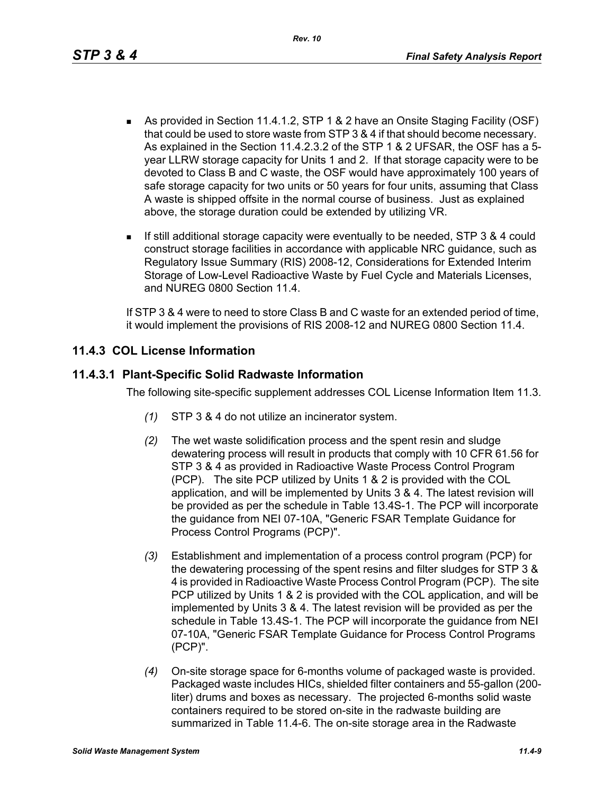- As provided in Section 11.4.1.2, STP 1 & 2 have an Onsite Staging Facility (OSF) that could be used to store waste from STP 3 & 4 if that should become necessary. As explained in the Section 11.4.2.3.2 of the STP 1 & 2 UFSAR, the OSF has a 5 year LLRW storage capacity for Units 1 and 2. If that storage capacity were to be devoted to Class B and C waste, the OSF would have approximately 100 years of safe storage capacity for two units or 50 years for four units, assuming that Class A waste is shipped offsite in the normal course of business. Just as explained above, the storage duration could be extended by utilizing VR.
- If still additional storage capacity were eventually to be needed, STP 3 & 4 could construct storage facilities in accordance with applicable NRC guidance, such as Regulatory Issue Summary (RIS) 2008-12, Considerations for Extended Interim Storage of Low-Level Radioactive Waste by Fuel Cycle and Materials Licenses, and NUREG 0800 Section 11.4.

If STP 3 & 4 were to need to store Class B and C waste for an extended period of time, it would implement the provisions of RIS 2008-12 and NUREG 0800 Section 11.4.

# **11.4.3 COL License Information**

# **11.4.3.1 Plant-Specific Solid Radwaste Information**

The following site-specific supplement addresses COL License Information Item 11.3.

- *(1)* STP 3 & 4 do not utilize an incinerator system.
- *(2)* The wet waste solidification process and the spent resin and sludge dewatering process will result in products that comply with 10 CFR 61.56 for STP 3 & 4 as provided in Radioactive Waste Process Control Program (PCP). The site PCP utilized by Units 1 & 2 is provided with the COL application, and will be implemented by Units 3 & 4. The latest revision will be provided as per the schedule in Table 13.4S-1. The PCP will incorporate the guidance from NEI 07-10A, "Generic FSAR Template Guidance for Process Control Programs (PCP)".
- *(3)* Establishment and implementation of a process control program (PCP) for the dewatering processing of the spent resins and filter sludges for STP 3 & 4 is provided in Radioactive Waste Process Control Program (PCP). The site PCP utilized by Units 1 & 2 is provided with the COL application, and will be implemented by Units 3 & 4. The latest revision will be provided as per the schedule in Table 13.4S-1. The PCP will incorporate the guidance from NEI 07-10A, "Generic FSAR Template Guidance for Process Control Programs (PCP)".
- *(4)* On-site storage space for 6-months volume of packaged waste is provided. Packaged waste includes HICs, shielded filter containers and 55-gallon (200 liter) drums and boxes as necessary. The projected 6-months solid waste containers required to be stored on-site in the radwaste building are summarized in Table 11.4-6. The on-site storage area in the Radwaste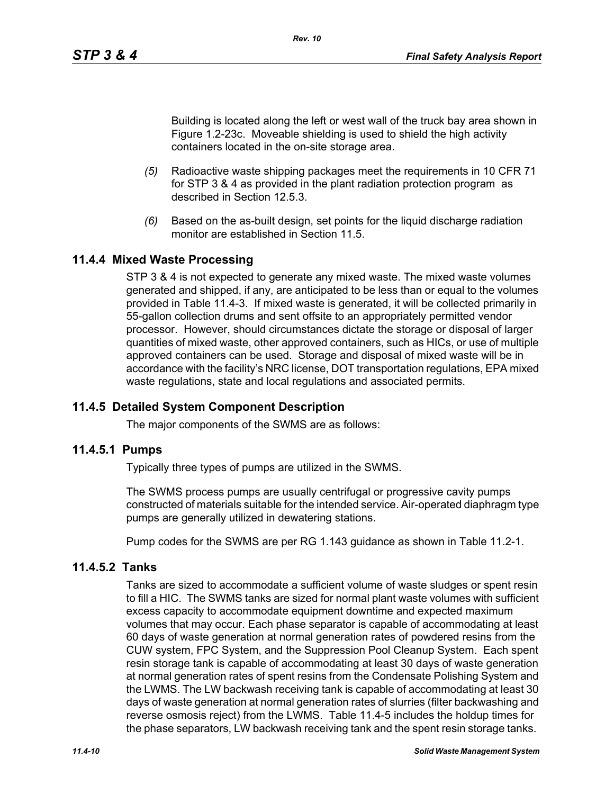Building is located along the left or west wall of the truck bay area shown in Figure 1.2-23c. Moveable shielding is used to shield the high activity containers located in the on-site storage area.

- *(5)* Radioactive waste shipping packages meet the requirements in 10 CFR 71 for STP 3 & 4 as provided in the plant radiation protection program as described in Section 12.5.3.
- *(6)* Based on the as-built design, set points for the liquid discharge radiation monitor are established in Section 11.5

# **11.4.4 Mixed Waste Processing**

STP 3 & 4 is not expected to generate any mixed waste. The mixed waste volumes generated and shipped, if any, are anticipated to be less than or equal to the volumes provided in Table 11.4-3. If mixed waste is generated, it will be collected primarily in 55-gallon collection drums and sent offsite to an appropriately permitted vendor processor. However, should circumstances dictate the storage or disposal of larger quantities of mixed waste, other approved containers, such as HICs, or use of multiple approved containers can be used. Storage and disposal of mixed waste will be in accordance with the facility's NRC license, DOT transportation regulations, EPA mixed waste regulations, state and local regulations and associated permits.

# **11.4.5 Detailed System Component Description**

The major components of the SWMS are as follows:

#### **11.4.5.1 Pumps**

Typically three types of pumps are utilized in the SWMS.

The SWMS process pumps are usually centrifugal or progressive cavity pumps constructed of materials suitable for the intended service. Air-operated diaphragm type pumps are generally utilized in dewatering stations.

Pump codes for the SWMS are per RG 1.143 guidance as shown in Table 11.2-1.

# **11.4.5.2 Tanks**

Tanks are sized to accommodate a sufficient volume of waste sludges or spent resin to fill a HIC. The SWMS tanks are sized for normal plant waste volumes with sufficient excess capacity to accommodate equipment downtime and expected maximum volumes that may occur. Each phase separator is capable of accommodating at least 60 days of waste generation at normal generation rates of powdered resins from the CUW system, FPC System, and the Suppression Pool Cleanup System. Each spent resin storage tank is capable of accommodating at least 30 days of waste generation at normal generation rates of spent resins from the Condensate Polishing System and the LWMS. The LW backwash receiving tank is capable of accommodating at least 30 days of waste generation at normal generation rates of slurries (filter backwashing and reverse osmosis reject) from the LWMS. Table 11.4-5 includes the holdup times for the phase separators, LW backwash receiving tank and the spent resin storage tanks.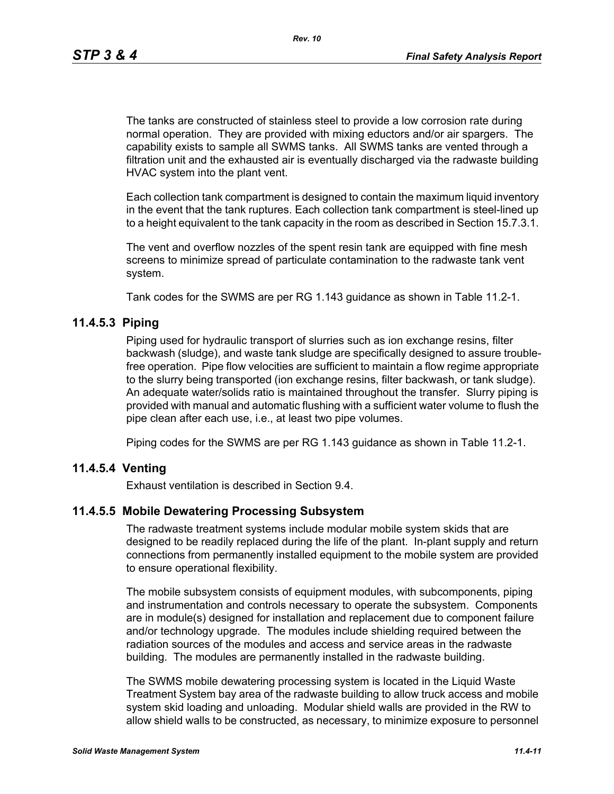The tanks are constructed of stainless steel to provide a low corrosion rate during normal operation. They are provided with mixing eductors and/or air spargers. The capability exists to sample all SWMS tanks. All SWMS tanks are vented through a filtration unit and the exhausted air is eventually discharged via the radwaste building HVAC system into the plant vent.

Each collection tank compartment is designed to contain the maximum liquid inventory in the event that the tank ruptures. Each collection tank compartment is steel-lined up to a height equivalent to the tank capacity in the room as described in Section 15.7.3.1.

The vent and overflow nozzles of the spent resin tank are equipped with fine mesh screens to minimize spread of particulate contamination to the radwaste tank vent system.

Tank codes for the SWMS are per RG 1.143 guidance as shown in Table 11.2-1.

# **11.4.5.3 Piping**

Piping used for hydraulic transport of slurries such as ion exchange resins, filter backwash (sludge), and waste tank sludge are specifically designed to assure troublefree operation. Pipe flow velocities are sufficient to maintain a flow regime appropriate to the slurry being transported (ion exchange resins, filter backwash, or tank sludge). An adequate water/solids ratio is maintained throughout the transfer. Slurry piping is provided with manual and automatic flushing with a sufficient water volume to flush the pipe clean after each use, i.e., at least two pipe volumes.

Piping codes for the SWMS are per RG 1.143 guidance as shown in Table 11.2-1.

# **11.4.5.4 Venting**

Exhaust ventilation is described in Section 9.4.

#### **11.4.5.5 Mobile Dewatering Processing Subsystem**

The radwaste treatment systems include modular mobile system skids that are designed to be readily replaced during the life of the plant. In-plant supply and return connections from permanently installed equipment to the mobile system are provided to ensure operational flexibility.

The mobile subsystem consists of equipment modules, with subcomponents, piping and instrumentation and controls necessary to operate the subsystem. Components are in module(s) designed for installation and replacement due to component failure and/or technology upgrade. The modules include shielding required between the radiation sources of the modules and access and service areas in the radwaste building. The modules are permanently installed in the radwaste building.

The SWMS mobile dewatering processing system is located in the Liquid Waste Treatment System bay area of the radwaste building to allow truck access and mobile system skid loading and unloading. Modular shield walls are provided in the RW to allow shield walls to be constructed, as necessary, to minimize exposure to personnel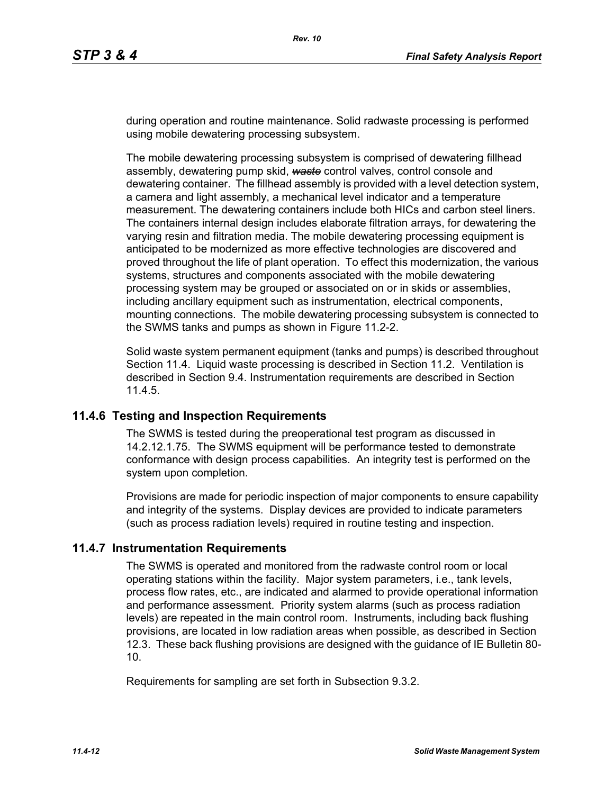during operation and routine maintenance. Solid radwaste processing is performed using mobile dewatering processing subsystem.

The mobile dewatering processing subsystem is comprised of dewatering fillhead assembly, dewatering pump skid, *waste* control valves, control console and dewatering container. The fillhead assembly is provided with a level detection system, a camera and light assembly, a mechanical level indicator and a temperature measurement. The dewatering containers include both HICs and carbon steel liners. The containers internal design includes elaborate filtration arrays, for dewatering the varying resin and filtration media. The mobile dewatering processing equipment is anticipated to be modernized as more effective technologies are discovered and proved throughout the life of plant operation. To effect this modernization, the various systems, structures and components associated with the mobile dewatering processing system may be grouped or associated on or in skids or assemblies, including ancillary equipment such as instrumentation, electrical components, mounting connections. The mobile dewatering processing subsystem is connected to the SWMS tanks and pumps as shown in Figure 11.2-2.

Solid waste system permanent equipment (tanks and pumps) is described throughout Section 11.4. Liquid waste processing is described in Section 11.2. Ventilation is described in Section 9.4. Instrumentation requirements are described in Section 11.4.5.

# **11.4.6 Testing and Inspection Requirements**

The SWMS is tested during the preoperational test program as discussed in 14.2.12.1.75. The SWMS equipment will be performance tested to demonstrate conformance with design process capabilities. An integrity test is performed on the system upon completion.

Provisions are made for periodic inspection of major components to ensure capability and integrity of the systems. Display devices are provided to indicate parameters (such as process radiation levels) required in routine testing and inspection.

# **11.4.7 Instrumentation Requirements**

The SWMS is operated and monitored from the radwaste control room or local operating stations within the facility. Major system parameters, i.e., tank levels, process flow rates, etc., are indicated and alarmed to provide operational information and performance assessment. Priority system alarms (such as process radiation levels) are repeated in the main control room. Instruments, including back flushing provisions, are located in low radiation areas when possible, as described in Section 12.3. These back flushing provisions are designed with the guidance of IE Bulletin 80- 10.

Requirements for sampling are set forth in Subsection 9.3.2.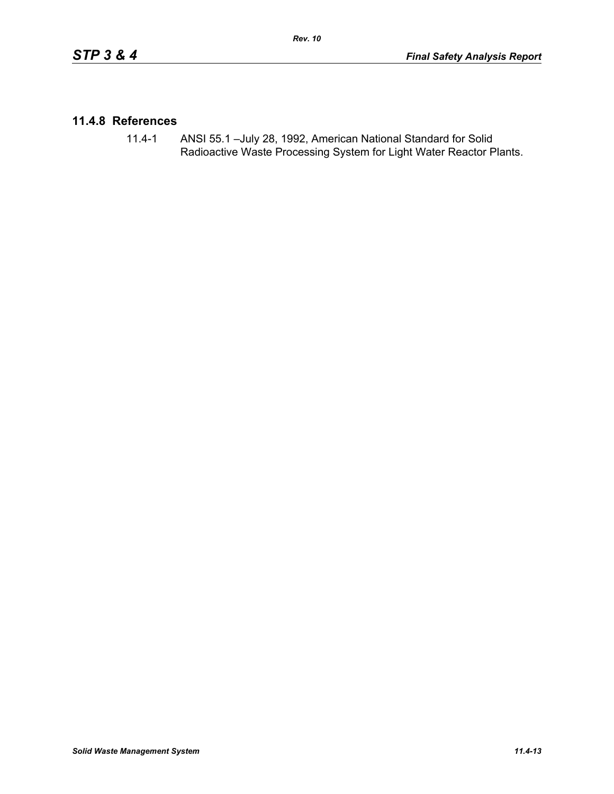# **11.4.8 References**

11.4-1 ANSI 55.1 –July 28, 1992, American National Standard for Solid Radioactive Waste Processing System for Light Water Reactor Plants.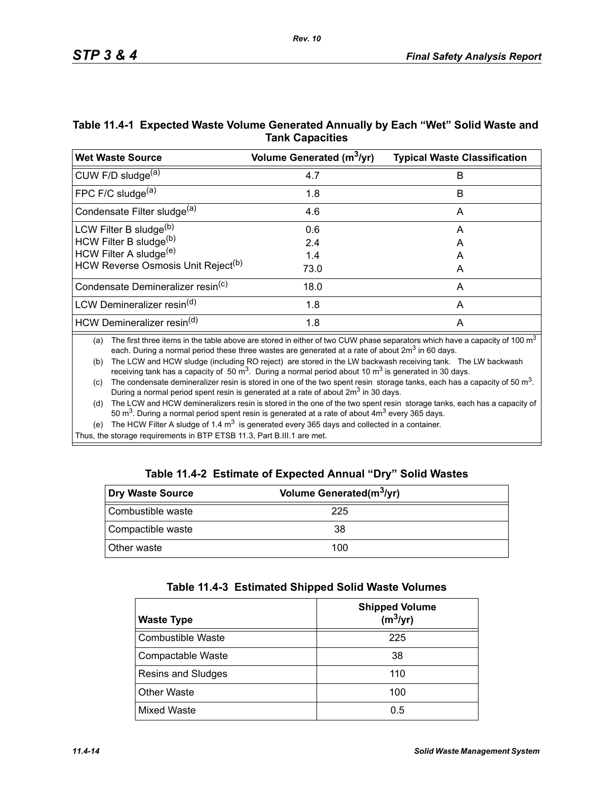| Table 11.4-1 Expected Waste Volume Generated Annually by Each "Wet" Solid Waste and |
|-------------------------------------------------------------------------------------|
| <b>Tank Capacities</b>                                                              |

| <b>Wet Waste Source</b>                        | Volume Generated (m <sup>3</sup> /yr) | <b>Typical Waste Classification</b> |
|------------------------------------------------|---------------------------------------|-------------------------------------|
| CUW F/D sludge <sup>(a)</sup>                  | 4.7                                   | B                                   |
| FPC F/C sludge $(a)$                           | 1.8                                   | В                                   |
| Condensate Filter sludge <sup>(a)</sup>        | 4.6                                   | A                                   |
| LCW Filter B sludge <sup>(b)</sup>             | 0.6                                   | A                                   |
| HCW Filter B sludge(b)                         | 2.4                                   | A                                   |
| HCW Filter A sludge <sup>(e)</sup>             | 1.4                                   | А                                   |
| HCW Reverse Osmosis Unit Reject <sup>(b)</sup> | 73.0                                  | A                                   |
| Condensate Demineralizer resin <sup>(c)</sup>  | 18.0                                  | A                                   |
| LCW Demineralizer resin <sup>(d)</sup>         | 1.8                                   | A                                   |
| HCW Demineralizer resin <sup>(d)</sup>         | 1.8                                   | A                                   |

(a) The first three items in the table above are stored in either of two CUW phase separators which have a capacity of 100  $m<sup>3</sup>$ each. During a normal period these three wastes are generated at a rate of about  $2m<sup>3</sup>$  in 60 days.

(b) The LCW and HCW sludge (including RO reject) are stored in the LW backwash receiving tank. The LW backwash receiving tank has a capacity of 50  $\text{m}^3$ . During a normal period about 10  $\text{m}^3$  is generated in 30 days.

(c) The condensate demineralizer resin is stored in one of the two spent resin storage tanks, each has a capacity of 50  $m<sup>3</sup>$ . During a normal period spent resin is generated at a rate of about 2m<sup>3</sup> in 30 days.

(d) The LCW and HCW demineralizers resin is stored in the one of the two spent resin storage tanks, each has a capacity of 50  $\text{m}^3$ . During a normal period spent resin is generated at a rate of about  $4\text{m}^3$  every 365 days.

(e) The HCW Filter A sludge of 1.4  $m<sup>3</sup>$  is generated every 365 days and collected in a container.

Thus, the storage requirements in BTP ETSB 11.3, Part B.III.1 are met.

|  | Table 11.4-2 Estimate of Expected Annual "Dry" Solid Wastes |  |  |  |
|--|-------------------------------------------------------------|--|--|--|
|--|-------------------------------------------------------------|--|--|--|

| Dry Waste Source   | Volume Generated(m <sup>3</sup> /yr) |  |
|--------------------|--------------------------------------|--|
| Combustible waste  | 225                                  |  |
| Compactible waste  | 38                                   |  |
| <b>Other waste</b> | 100                                  |  |

| Table 11.4-3 Estimated Shipped Solid Waste Volumes |  |  |  |  |  |
|----------------------------------------------------|--|--|--|--|--|
|----------------------------------------------------|--|--|--|--|--|

| <b>Waste Type</b>        | <b>Shipped Volume</b><br>$(m^3/yr)$ |
|--------------------------|-------------------------------------|
| <b>Combustible Waste</b> | 225                                 |
| Compactable Waste        | 38                                  |
| Resins and Sludges       | 110                                 |
| <b>Other Waste</b>       | 100                                 |
| Mixed Waste              | 0.5                                 |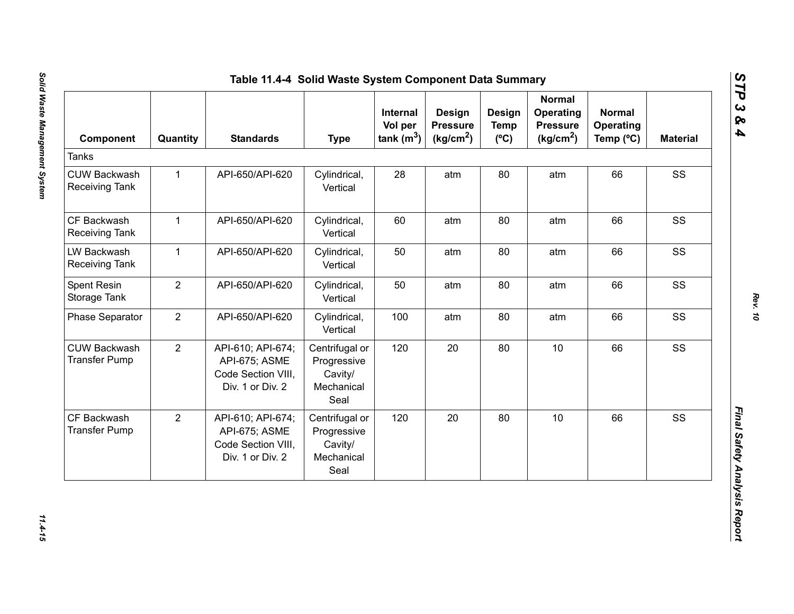| Component                                    | Quantity       | <b>Standards</b>                                                             | <b>Type</b>                                                    | Internal<br>Vol per<br>tank $(m^3)$ | <b>Design</b><br><b>Pressure</b><br>(kg/cm <sup>2</sup> ) | Design<br><b>Temp</b><br>$(^{\circ}C)$ | <b>Normal</b><br>Operating<br><b>Pressure</b><br>(kg/cm <sup>2</sup> ) | <b>Normal</b><br><b>Operating</b><br>Temp (°C) | <b>Material</b> |
|----------------------------------------------|----------------|------------------------------------------------------------------------------|----------------------------------------------------------------|-------------------------------------|-----------------------------------------------------------|----------------------------------------|------------------------------------------------------------------------|------------------------------------------------|-----------------|
| <b>Tanks</b>                                 |                |                                                                              |                                                                |                                     |                                                           |                                        |                                                                        |                                                |                 |
| <b>CUW Backwash</b><br><b>Receiving Tank</b> | $\mathbf{1}$   | API-650/API-620                                                              | Cylindrical,<br>Vertical                                       | 28                                  | atm                                                       | 80                                     | atm                                                                    | 66                                             | SS              |
| CF Backwash<br>Receiving Tank                | $\mathbf{1}$   | API-650/API-620                                                              | Cylindrical,<br>Vertical                                       | 60                                  | atm                                                       | 80                                     | atm                                                                    | 66                                             | SS              |
| LW Backwash<br><b>Receiving Tank</b>         | $\mathbf{1}$   | API-650/API-620                                                              | Cylindrical,<br>Vertical                                       | 50                                  | atm                                                       | 80                                     | atm                                                                    | 66                                             | SS              |
| Spent Resin<br>Storage Tank                  | $\overline{2}$ | API-650/API-620                                                              | Cylindrical,<br>Vertical                                       | 50                                  | atm                                                       | 80                                     | atm                                                                    | 66                                             | SS              |
| <b>Phase Separator</b>                       | $\overline{2}$ | API-650/API-620                                                              | Cylindrical,<br>Vertical                                       | 100                                 | atm                                                       | 80                                     | atm                                                                    | 66                                             | SS              |
| <b>CUW Backwash</b><br><b>Transfer Pump</b>  | $\overline{2}$ | API-610; API-674;<br>API-675; ASME<br>Code Section VIII,<br>Div. 1 or Div. 2 | Centrifugal or<br>Progressive<br>Cavity/<br>Mechanical<br>Seal | 120                                 | 20                                                        | 80                                     | 10                                                                     | 66                                             | SS              |
| CF Backwash<br><b>Transfer Pump</b>          | $\overline{2}$ | API-610; API-674;<br>API-675; ASME<br>Code Section VIII,<br>Div. 1 or Div. 2 | Centrifugal or<br>Progressive<br>Cavity/<br>Mechanical<br>Seal | 120                                 | 20                                                        | 80                                     | 10                                                                     | 66                                             | SS              |

*STP 3 & 4*

11.4-15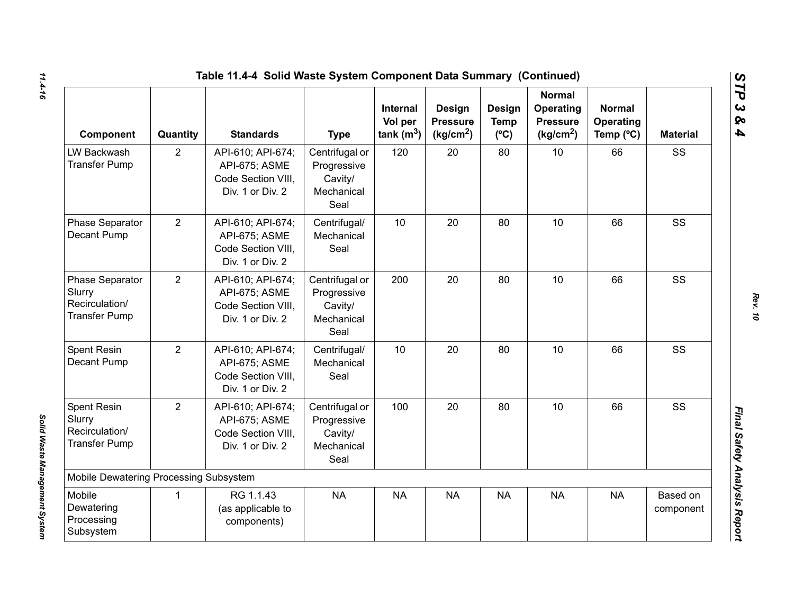| Table 11.4-4 Solid Waste System Component Data Summary (Continued)     |                |                                                                              |                                                                |                                            |                                                    |                                               |                                                                        |                                                  |                       |
|------------------------------------------------------------------------|----------------|------------------------------------------------------------------------------|----------------------------------------------------------------|--------------------------------------------|----------------------------------------------------|-----------------------------------------------|------------------------------------------------------------------------|--------------------------------------------------|-----------------------|
| Component                                                              | Quantity       | <b>Standards</b>                                                             | <b>Type</b>                                                    | <b>Internal</b><br>Vol per<br>tank $(m^3)$ | Design<br><b>Pressure</b><br>(kg/cm <sup>2</sup> ) | <b>Design</b><br><b>Temp</b><br>$(^{\circ}C)$ | <b>Normal</b><br>Operating<br><b>Pressure</b><br>(kg/cm <sup>2</sup> ) | <b>Normal</b><br>Operating<br>Temp $(^{\circ}C)$ | <b>Material</b>       |
| LW Backwash<br><b>Transfer Pump</b>                                    | $\overline{2}$ | API-610; API-674;<br>API-675; ASME<br>Code Section VIII,<br>Div. 1 or Div. 2 | Centrifugal or<br>Progressive<br>Cavity/<br>Mechanical<br>Seal | 120                                        | 20                                                 | 80                                            | 10                                                                     | 66                                               | SS                    |
| Phase Separator<br>Decant Pump                                         | $\overline{2}$ | API-610; API-674;<br>API-675; ASME<br>Code Section VIII.<br>Div. 1 or Div. 2 | Centrifugal/<br>Mechanical<br>Seal                             | 10                                         | 20                                                 | 80                                            | 10                                                                     | 66                                               | SS                    |
| Phase Separator<br>Slurry<br>Recirculation/<br><b>Transfer Pump</b>    | $\overline{2}$ | API-610; API-674;<br>API-675; ASME<br>Code Section VIII,<br>Div. 1 or Div. 2 | Centrifugal or<br>Progressive<br>Cavity/<br>Mechanical<br>Seal | 200                                        | 20                                                 | 80                                            | 10                                                                     | 66                                               | SS                    |
| Spent Resin<br>Decant Pump                                             | $\overline{2}$ | API-610; API-674;<br>API-675; ASME<br>Code Section VIII.<br>Div. 1 or Div. 2 | Centrifugal/<br>Mechanical<br>Seal                             | 10                                         | 20                                                 | 80                                            | 10                                                                     | 66                                               | SS                    |
| <b>Spent Resin</b><br>Slurry<br>Recirculation/<br><b>Transfer Pump</b> | $\overline{2}$ | API-610; API-674;<br>API-675; ASME<br>Code Section VIII.<br>Div. 1 or Div. 2 | Centrifugal or<br>Progressive<br>Cavity/<br>Mechanical<br>Seal | 100                                        | 20                                                 | 80                                            | 10                                                                     | 66                                               | SS                    |
| Mobile Dewatering Processing Subsystem                                 |                |                                                                              |                                                                |                                            |                                                    |                                               |                                                                        |                                                  |                       |
| Mobile<br>Dewatering<br>Processing<br>Subsystem                        | $\mathbf 1$    | RG 1.1.43<br>(as applicable to<br>components)                                | <b>NA</b>                                                      | <b>NA</b>                                  | <b>NA</b>                                          | <b>NA</b>                                     | <b>NA</b>                                                              | <b>NA</b>                                        | Based on<br>component |

*STP 3 & 4*

Solid Waste Management System

*Solid Waste Management System*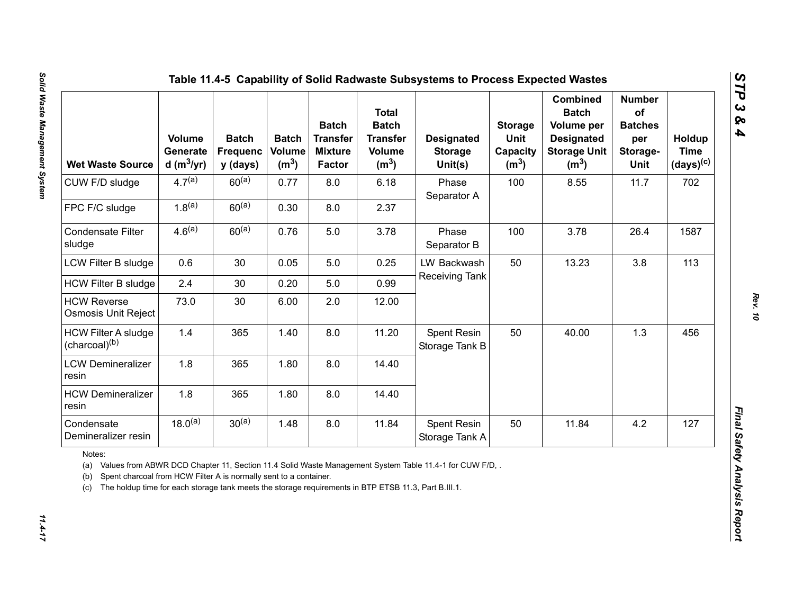| <b>Wet Waste Source</b>                                                                                                                                                                                                                                                                                        | <b>Volume</b><br>Generate<br>d (m $3/yr$ ) | <b>Batch</b><br><b>Frequenc</b><br>y (days) | <b>Batch</b><br><b>Volume</b><br>(m <sup>3</sup> ) | <b>Batch</b><br><b>Transfer</b><br><b>Mixture</b><br>Factor | <b>Total</b><br><b>Batch</b><br><b>Transfer</b><br><b>Volume</b><br>(m <sup>3</sup> ) | <b>Designated</b><br><b>Storage</b><br>Unit(s) | <b>Storage</b><br>Unit<br>Capacity<br>(m <sup>3</sup> ) | <b>Combined</b><br><b>Batch</b><br>Volume per<br><b>Designated</b><br><b>Storage Unit</b><br>(m <sup>3</sup> ) | <b>Number</b><br>of<br><b>Batches</b><br>per<br>Storage-<br>Unit | Holdup<br><b>Time</b><br>$(days)^{(c)}$ |
|----------------------------------------------------------------------------------------------------------------------------------------------------------------------------------------------------------------------------------------------------------------------------------------------------------------|--------------------------------------------|---------------------------------------------|----------------------------------------------------|-------------------------------------------------------------|---------------------------------------------------------------------------------------|------------------------------------------------|---------------------------------------------------------|----------------------------------------------------------------------------------------------------------------|------------------------------------------------------------------|-----------------------------------------|
| CUW F/D sludge                                                                                                                                                                                                                                                                                                 | $4.7^{(a)}$                                | $60^{(a)}$                                  | 0.77                                               | 8.0                                                         | 6.18                                                                                  | Phase<br>Separator A                           | 100                                                     | 8.55                                                                                                           | 11.7                                                             | 702                                     |
| FPC F/C sludge                                                                                                                                                                                                                                                                                                 | $1.8^{(a)}$                                | $60^{(a)}$                                  | 0.30                                               | 8.0                                                         | 2.37                                                                                  |                                                |                                                         |                                                                                                                |                                                                  |                                         |
| <b>Condensate Filter</b><br>sludge                                                                                                                                                                                                                                                                             | $4.6^{(a)}$                                | $60^{(a)}$                                  | 0.76                                               | 5.0                                                         | 3.78                                                                                  | Phase<br>Separator B                           | 100                                                     | 3.78                                                                                                           | 26.4                                                             | 1587                                    |
| LCW Filter B sludge                                                                                                                                                                                                                                                                                            | 0.6                                        | 30                                          | 0.05                                               | 5.0                                                         | 0.25                                                                                  | LW Backwash                                    | 50                                                      | 13.23                                                                                                          | 3.8                                                              | 113                                     |
| <b>HCW Filter B sludge</b>                                                                                                                                                                                                                                                                                     | 2.4                                        | 30                                          | 0.20                                               | 5.0                                                         | 0.99                                                                                  | Receiving Tank                                 |                                                         |                                                                                                                |                                                                  |                                         |
| <b>HCW Reverse</b><br>Osmosis Unit Reject                                                                                                                                                                                                                                                                      | 73.0                                       | 30                                          | 6.00                                               | 2.0                                                         | 12.00                                                                                 |                                                |                                                         |                                                                                                                |                                                                  |                                         |
| <b>HCW Filter A sludge</b><br>(charcoal) <sup>(b)</sup>                                                                                                                                                                                                                                                        | 1.4                                        | 365                                         | 1.40                                               | 8.0                                                         | 11.20                                                                                 | Spent Resin<br>Storage Tank B                  | 50                                                      | 40.00                                                                                                          | 1.3                                                              | 456                                     |
| <b>LCW Demineralizer</b><br>resin                                                                                                                                                                                                                                                                              | 1.8                                        | 365                                         | 1.80                                               | 8.0                                                         | 14.40                                                                                 |                                                |                                                         |                                                                                                                |                                                                  |                                         |
| <b>HCW Demineralizer</b><br>resin                                                                                                                                                                                                                                                                              | 1.8                                        | 365                                         | 1.80                                               | 8.0                                                         | 14.40                                                                                 |                                                |                                                         |                                                                                                                |                                                                  |                                         |
| Condensate<br>Demineralizer resin                                                                                                                                                                                                                                                                              | $18.0^{(a)}$                               | $30^{(a)}$                                  | 1.48                                               | 8.0                                                         | 11.84                                                                                 | Spent Resin<br>Storage Tank A                  | 50                                                      | 11.84                                                                                                          | 4.2                                                              | 127                                     |
| Notes:<br>(a) Values from ABWR DCD Chapter 11, Section 11.4 Solid Waste Management System Table 11.4-1 for CUW F/D.<br>Spent charcoal from HCW Filter A is normally sent to a container.<br>(b)<br>The holdup time for each storage tank meets the storage requirements in BTP ETSB 11.3, Part B.III.1.<br>(c) |                                            |                                             |                                                    |                                                             |                                                                                       |                                                |                                                         |                                                                                                                |                                                                  |                                         |

*STP 3 & 4*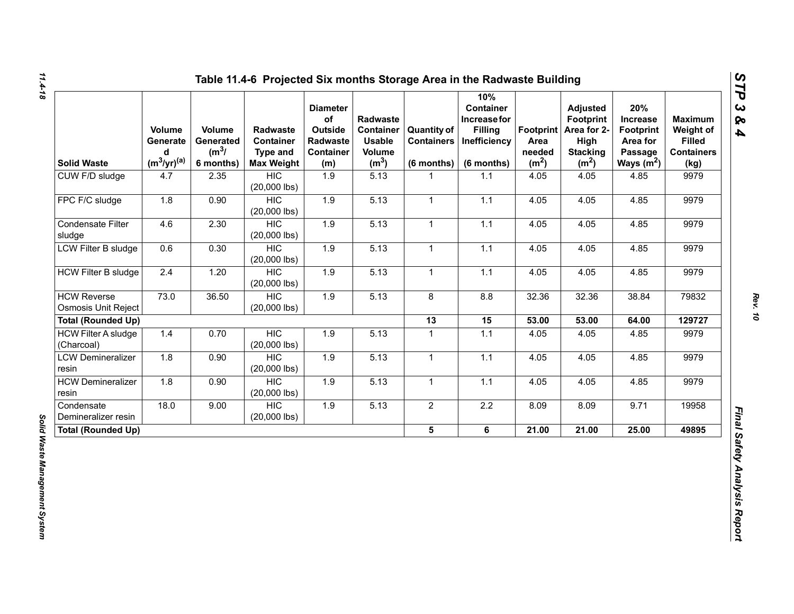| <b>Solid Waste</b>                               | Volume<br>Generate<br>d<br>$(m^3/yr)^{(a)}$ | Volume<br>Generated<br>$(m^3)$<br>6 months) | <b>Radwaste</b><br>Container<br><b>Type and</b><br><b>Max Weight</b> | <b>Diameter</b><br>of<br>Outside<br>Radwaste<br><b>Container</b><br>(m) | Radwaste<br><b>Container</b><br><b>Usable</b><br>Volume<br>(m <sup>3</sup> ) | <b>Quantity of</b><br><b>Containers</b><br>$(6$ months) | 10%<br><b>Container</b><br>Increase for<br><b>Filling</b><br>Inefficiency<br>(6 months) | Footprint  <br>Area<br>needed<br>(m <sup>2</sup> ) | <b>Adjusted</b><br><b>Footprint</b><br>Area for 2-<br>High<br><b>Stacking</b><br>(m <sup>2</sup> ) | 20%<br><b>Increase</b><br><b>Footprint</b><br>Area for<br>Passage<br>Ways $(m^2)$ | <b>Maximum</b><br>Weight of<br><b>Filled</b><br><b>Containers</b><br>(kg) |
|--------------------------------------------------|---------------------------------------------|---------------------------------------------|----------------------------------------------------------------------|-------------------------------------------------------------------------|------------------------------------------------------------------------------|---------------------------------------------------------|-----------------------------------------------------------------------------------------|----------------------------------------------------|----------------------------------------------------------------------------------------------------|-----------------------------------------------------------------------------------|---------------------------------------------------------------------------|
| CUW F/D sludge                                   | 4.7                                         | 2.35                                        | <b>HIC</b><br>$(20,000$ lbs)                                         | 1.9                                                                     | 5.13                                                                         | 1                                                       | 1.1                                                                                     | 4.05                                               | 4.05                                                                                               | 4.85                                                                              | 9979                                                                      |
| FPC F/C sludge                                   | 1.8                                         | 0.90                                        | <b>HIC</b><br>$(20,000$ lbs)                                         | 1.9                                                                     | 5.13                                                                         | $\mathbf{1}$                                            | 1.1                                                                                     | 4.05                                               | 4.05                                                                                               | 4.85                                                                              | 9979                                                                      |
| Condensate Filter<br>sludge                      | 4.6                                         | 2.30                                        | <b>HIC</b><br>$(20,000$ lbs)                                         | 1.9                                                                     | 5.13                                                                         | $\mathbf{1}$                                            | 1.1                                                                                     | 4.05                                               | 4.05                                                                                               | 4.85                                                                              | 9979                                                                      |
| LCW Filter B sludge                              | 0.6                                         | 0.30                                        | <b>HIC</b><br>$(20,000$ lbs)                                         | 1.9                                                                     | 5.13                                                                         | $\mathbf{1}$                                            | $1.1$                                                                                   | 4.05                                               | 4.05                                                                                               | 4.85                                                                              | 9979                                                                      |
| <b>HCW Filter B sludge</b>                       | 2.4                                         | 1.20                                        | <b>HIC</b><br>$(20,000$ lbs)                                         | 1.9                                                                     | 5.13                                                                         | $\mathbf{1}$                                            | 1.1                                                                                     | 4.05                                               | 4.05                                                                                               | 4.85                                                                              | 9979                                                                      |
| <b>HCW Reverse</b><br><b>Osmosis Unit Reject</b> | 73.0                                        | 36.50                                       | <b>HIC</b><br>$(20,000$ lbs)                                         | 1.9                                                                     | 5.13                                                                         | 8                                                       | 8.8                                                                                     | 32.36                                              | 32.36                                                                                              | 38.84                                                                             | 79832                                                                     |
| <b>Total (Rounded Up)</b>                        |                                             |                                             |                                                                      |                                                                         |                                                                              | 13                                                      | 15                                                                                      | 53.00                                              | 53.00                                                                                              | 64.00                                                                             | 129727                                                                    |
| <b>HCW Filter A sludge</b><br>(Charcoal)         | 1.4                                         | 0.70                                        | <b>HIC</b><br>$(20,000$ lbs)                                         | 1.9                                                                     | 5.13                                                                         | $\mathbf{1}$                                            | $1.1$                                                                                   | 4.05                                               | 4.05                                                                                               | 4.85                                                                              | 9979                                                                      |
| <b>LCW Demineralizer</b><br>resin                | 1.8                                         | 0.90                                        | <b>HIC</b><br>$(20,000$ lbs)                                         | 1.9                                                                     | 5.13                                                                         | $\mathbf{1}$                                            | 1.1                                                                                     | 4.05                                               | 4.05                                                                                               | 4.85                                                                              | 9979                                                                      |
| <b>HCW Demineralizer</b><br>resin                | 1.8                                         | 0.90                                        | <b>HIC</b><br>$(20,000$ lbs)                                         | 1.9                                                                     | 5.13                                                                         | 1                                                       | 1.1                                                                                     | 4.05                                               | 4.05                                                                                               | 4.85                                                                              | 9979                                                                      |
| Condensate<br>Demineralizer resin                | 18.0                                        | 9.00                                        | <b>HIC</b><br>$(20,000$ lbs)                                         | 1.9                                                                     | 5.13                                                                         | $\overline{2}$                                          | $2.2\,$                                                                                 | 8.09                                               | 8.09                                                                                               | 9.71                                                                              | 19958                                                                     |
| <b>Total (Rounded Up)</b>                        |                                             |                                             |                                                                      |                                                                         |                                                                              | 5 <sup>5</sup>                                          | 6                                                                                       | 21.00                                              | 21.00                                                                                              | 25.00                                                                             | 49895                                                                     |

*STP 3 & 4*